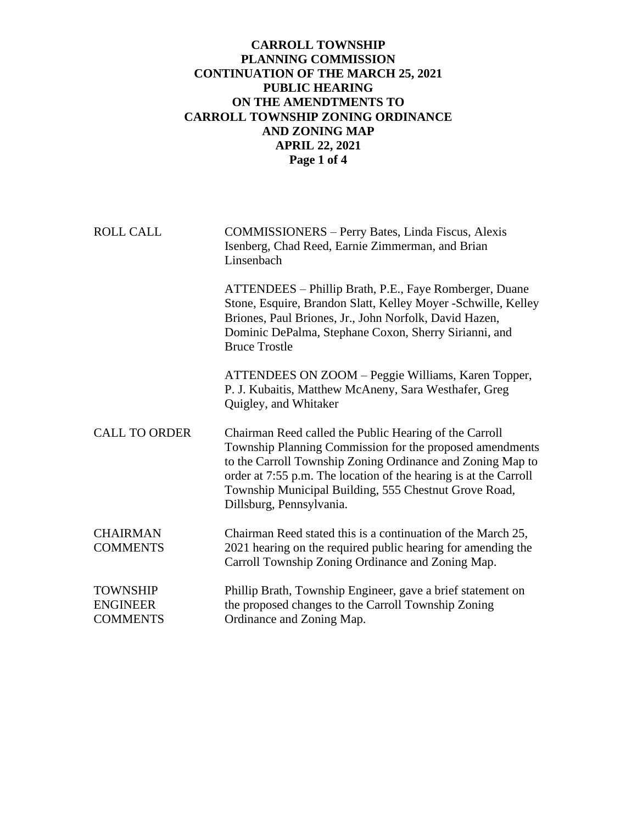## **CARROLL TOWNSHIP PLANNING COMMISSION CONTINUATION OF THE MARCH 25, 2021 PUBLIC HEARING ON THE AMENDTMENTS TO CARROLL TOWNSHIP ZONING ORDINANCE AND ZONING MAP APRIL 22, 2021 Page 1 of 4**

ROLL CALL COMMISSIONERS – Perry Bates, Linda Fiscus, Alexis Isenberg, Chad Reed, Earnie Zimmerman, and Brian Linsenbach ATTENDEES – Phillip Brath, P.E., Faye Romberger, Duane Stone, Esquire, Brandon Slatt, Kelley Moyer -Schwille, Kelley Briones, Paul Briones, Jr., John Norfolk, David Hazen, Dominic DePalma, Stephane Coxon, Sherry Sirianni, and Bruce Trostle ATTENDEES ON ZOOM – Peggie Williams, Karen Topper, P. J. Kubaitis, Matthew McAneny, Sara Westhafer, Greg Quigley, and Whitaker CALL TO ORDER Chairman Reed called the Public Hearing of the Carroll Township Planning Commission for the proposed amendments to the Carroll Township Zoning Ordinance and Zoning Map to order at 7:55 p.m. The location of the hearing is at the Carroll Township Municipal Building, 555 Chestnut Grove Road, Dillsburg, Pennsylvania. CHAIRMAN Chairman Reed stated this is a continuation of the March 25, COMMENTS 2021 hearing on the required public hearing for amending the Carroll Township Zoning Ordinance and Zoning Map. TOWNSHIP Phillip Brath, Township Engineer, gave a brief statement on ENGINEER the proposed changes to the Carroll Township Zoning COMMENTS Ordinance and Zoning Map.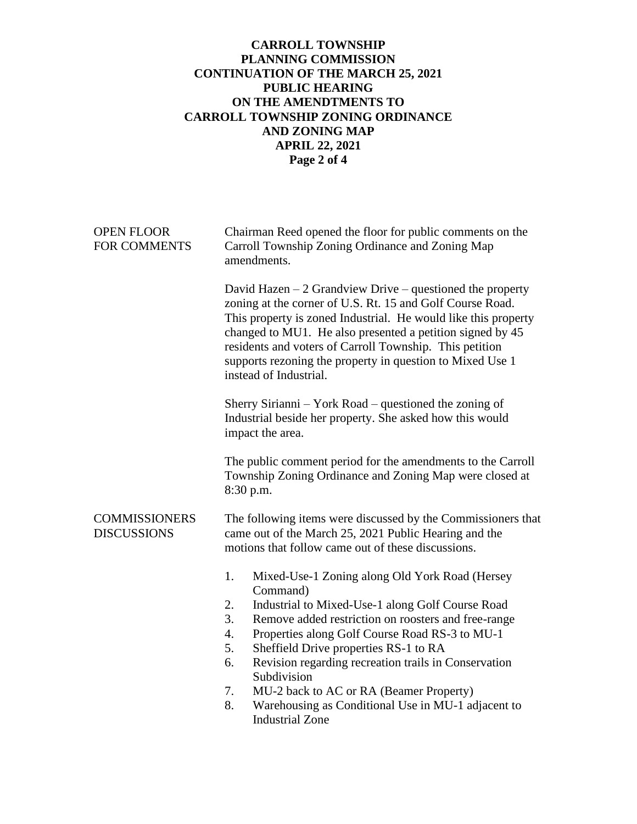## **CARROLL TOWNSHIP PLANNING COMMISSION CONTINUATION OF THE MARCH 25, 2021 PUBLIC HEARING ON THE AMENDTMENTS TO CARROLL TOWNSHIP ZONING ORDINANCE AND ZONING MAP APRIL 22, 2021 Page 2 of 4**

| <b>OPEN FLOOR</b><br><b>FOR COMMENTS</b>   | Chairman Reed opened the floor for public comments on the<br>Carroll Township Zoning Ordinance and Zoning Map<br>amendments.                                                                                                                                                                                                                                                                             |
|--------------------------------------------|----------------------------------------------------------------------------------------------------------------------------------------------------------------------------------------------------------------------------------------------------------------------------------------------------------------------------------------------------------------------------------------------------------|
|                                            | David Hazen $-2$ Grandview Drive – questioned the property<br>zoning at the corner of U.S. Rt. 15 and Golf Course Road.<br>This property is zoned Industrial. He would like this property<br>changed to MU1. He also presented a petition signed by 45<br>residents and voters of Carroll Township. This petition<br>supports rezoning the property in question to Mixed Use 1<br>instead of Industrial. |
|                                            | Sherry Sirianni – York Road – questioned the zoning of<br>Industrial beside her property. She asked how this would<br>impact the area.                                                                                                                                                                                                                                                                   |
|                                            | The public comment period for the amendments to the Carroll<br>Township Zoning Ordinance and Zoning Map were closed at<br>8:30 p.m.                                                                                                                                                                                                                                                                      |
| <b>COMMISSIONERS</b><br><b>DISCUSSIONS</b> | The following items were discussed by the Commissioners that<br>came out of the March 25, 2021 Public Hearing and the<br>motions that follow came out of these discussions.                                                                                                                                                                                                                              |
|                                            | 1.<br>Mixed-Use-1 Zoning along Old York Road (Hersey<br>Command)                                                                                                                                                                                                                                                                                                                                         |
|                                            | Industrial to Mixed-Use-1 along Golf Course Road<br>2.                                                                                                                                                                                                                                                                                                                                                   |
|                                            | 3.<br>Remove added restriction on roosters and free-range                                                                                                                                                                                                                                                                                                                                                |
|                                            | Properties along Golf Course Road RS-3 to MU-1<br>4.                                                                                                                                                                                                                                                                                                                                                     |
|                                            | Sheffield Drive properties RS-1 to RA<br>5.                                                                                                                                                                                                                                                                                                                                                              |
|                                            | Revision regarding recreation trails in Conservation<br>6.<br>Subdivision                                                                                                                                                                                                                                                                                                                                |
|                                            | MU-2 back to AC or RA (Beamer Property)<br>7.                                                                                                                                                                                                                                                                                                                                                            |
|                                            | Warehousing as Conditional Use in MU-1 adjacent to<br>8.                                                                                                                                                                                                                                                                                                                                                 |
|                                            | <b>Industrial Zone</b>                                                                                                                                                                                                                                                                                                                                                                                   |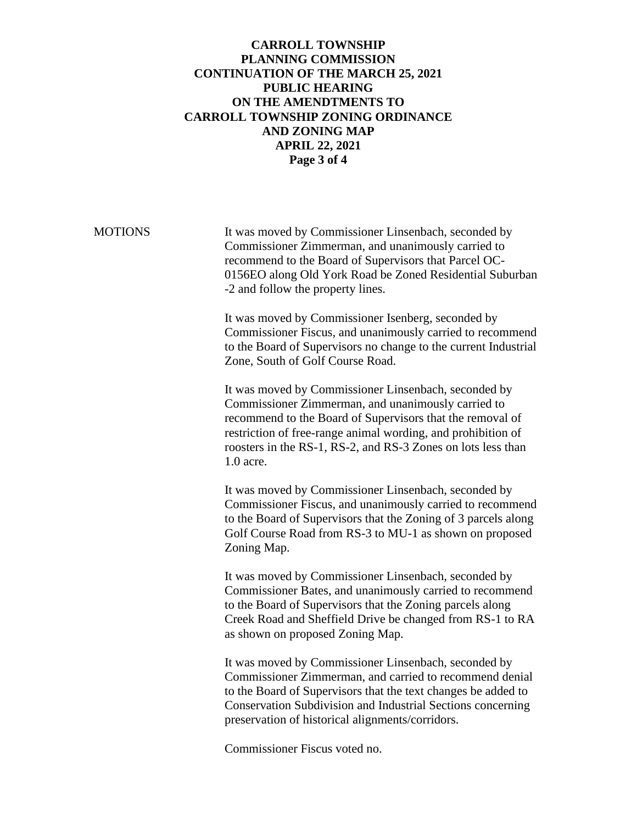## **CARROLL TOWNSHIP PLANNING COMMISSION CONTINUATION OF THE MARCH 25, 2021 PUBLIC HEARING ON THE AMENDTMENTS TO CARROLL TOWNSHIP ZONING ORDINANCE AND ZONING MAP APRIL 22, 2021 Page 3 of 4**

MOTIONS It was moved by Commissioner Linsenbach, seconded by Commissioner Zimmerman, and unanimously carried to recommend to the Board of Supervisors that Parcel OC-0156EO along Old York Road be Zoned Residential Suburban -2 and follow the property lines.

> It was moved by Commissioner Isenberg, seconded by Commissioner Fiscus, and unanimously carried to recommend to the Board of Supervisors no change to the current Industrial Zone, South of Golf Course Road.

It was moved by Commissioner Linsenbach, seconded by Commissioner Zimmerman, and unanimously carried to recommend to the Board of Supervisors that the removal of restriction of free-range animal wording, and prohibition of roosters in the RS-1, RS-2, and RS-3 Zones on lots less than 1.0 acre.

It was moved by Commissioner Linsenbach, seconded by Commissioner Fiscus, and unanimously carried to recommend to the Board of Supervisors that the Zoning of 3 parcels along Golf Course Road from RS-3 to MU-1 as shown on proposed Zoning Map.

It was moved by Commissioner Linsenbach, seconded by Commissioner Bates, and unanimously carried to recommend to the Board of Supervisors that the Zoning parcels along Creek Road and Sheffield Drive be changed from RS-1 to RA as shown on proposed Zoning Map.

It was moved by Commissioner Linsenbach, seconded by Commissioner Zimmerman, and carried to recommend denial to the Board of Supervisors that the text changes be added to Conservation Subdivision and Industrial Sections concerning preservation of historical alignments/corridors.

Commissioner Fiscus voted no.